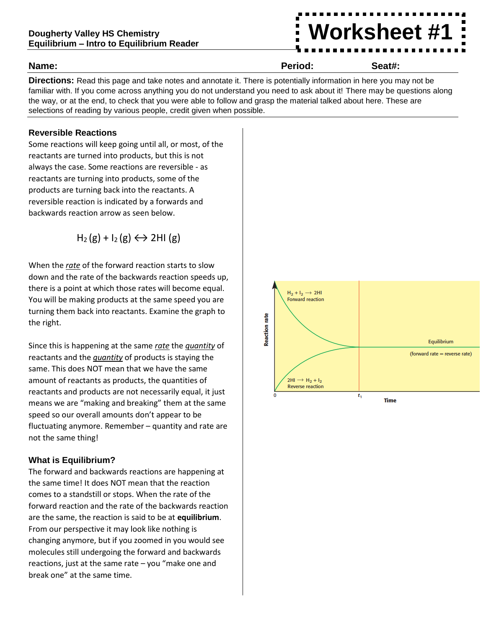# **Worksheet #1**

| Name: | Period: | Seat#: |
|-------|---------|--------|
|       |         | .      |
|       |         |        |

**Directions:** Read this page and take notes and annotate it. There is potentially information in here you may not be familiar with. If you come across anything you do not understand you need to ask about it! There may be questions along the way, or at the end, to check that you were able to follow and grasp the material talked about here. These are selections of reading by various people, credit given when possible.

#### **Reversible Reactions**

Some reactions will keep going until all, or most, of the reactants are turned into products, but this is not always the case. Some reactions are reversible - as reactants are turning into products, some of the products are turning back into the reactants. A reversible reaction is indicated by a forwards and backwards reaction arrow as seen below.

 $H_2(g) + I_2(g) \leftrightarrow 2H1(g)$ 

When the *rate* of the forward reaction starts to slow down and the rate of the backwards reaction speeds up, there is a point at which those rates will become equal. You will be making products at the same speed you are turning them back into reactants. Examine the graph to the right.

Since this is happening at the same *rate* the *quantity* of reactants and the *quantity* of products is staying the same. This does NOT mean that we have the same amount of reactants as products, the quantities of reactants and products are not necessarily equal, it just means we are "making and breaking" them at the same speed so our overall amounts don't appear to be fluctuating anymore. Remember – quantity and rate are not the same thing!

### **What is Equilibrium?**

The forward and backwards reactions are happening at the same time! It does NOT mean that the reaction comes to a standstill or stops. When the rate of the forward reaction and the rate of the backwards reaction are the same, the reaction is said to be at **equilibrium**. From our perspective it may look like nothing is changing anymore, but if you zoomed in you would see molecules still undergoing the forward and backwards reactions, just at the same rate – you "make one and break one" at the same time.